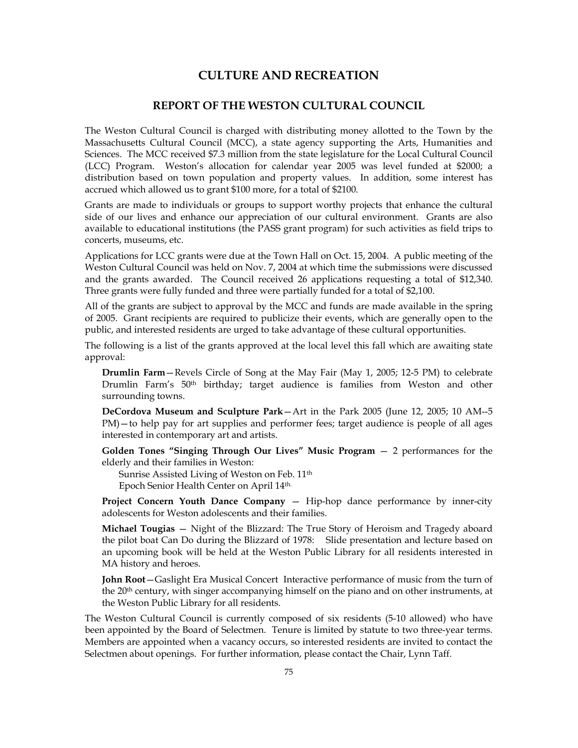# **CULTURE AND RECREATION**

# **REPORT OF THE WESTON CULTURAL COUNCIL**

The Weston Cultural Council is charged with distributing money allotted to the Town by the Massachusetts Cultural Council (MCC), a state agency supporting the Arts, Humanities and Sciences. The MCC received \$7.3 million from the state legislature for the Local Cultural Council (LCC) Program. Weston's allocation for calendar year 2005 was level funded at \$2000; a distribution based on town population and property values. In addition, some interest has accrued which allowed us to grant \$100 more, for a total of \$2100.

Grants are made to individuals or groups to support worthy projects that enhance the cultural side of our lives and enhance our appreciation of our cultural environment. Grants are also available to educational institutions (the PASS grant program) for such activities as field trips to concerts, museums, etc.

Applications for LCC grants were due at the Town Hall on Oct. 15, 2004. A public meeting of the Weston Cultural Council was held on Nov. 7, 2004 at which time the submissions were discussed and the grants awarded. The Council received 26 applications requesting a total of \$12,340. Three grants were fully funded and three were partially funded for a total of \$2,100.

All of the grants are subject to approval by the MCC and funds are made available in the spring of 2005. Grant recipients are required to publicize their events, which are generally open to the public, and interested residents are urged to take advantage of these cultural opportunities.

The following is a list of the grants approved at the local level this fall which are awaiting state approval:

**Drumlin Farm**—Revels Circle of Song at the May Fair (May 1, 2005; 12-5 PM) to celebrate Drumlin Farm's 50th birthday; target audience is families from Weston and other surrounding towns.

**DeCordova Museum and Sculpture Park**—Art in the Park 2005 (June 12, 2005; 10 AM--5 PM)—to help pay for art supplies and performer fees; target audience is people of all ages interested in contemporary art and artists.

**Golden Tones "Singing Through Our Lives" Music Program** — 2 performances for the elderly and their families in Weston:

Sunrise Assisted Living of Weston on Feb. 11<sup>th</sup> Epoch Senior Health Center on April 14th.

**Project Concern Youth Dance Company – Hip-hop dance performance by inner-city** adolescents for Weston adolescents and their families.

**Michael Tougias** — Night of the Blizzard: The True Story of Heroism and Tragedy aboard the pilot boat Can Do during the Blizzard of 1978: Slide presentation and lecture based on an upcoming book will be held at the Weston Public Library for all residents interested in MA history and heroes.

**John Root**—Gaslight Era Musical Concert Interactive performance of music from the turn of the 20<sup>th</sup> century, with singer accompanying himself on the piano and on other instruments, at the Weston Public Library for all residents.

The Weston Cultural Council is currently composed of six residents (5-10 allowed) who have been appointed by the Board of Selectmen. Tenure is limited by statute to two three-year terms. Members are appointed when a vacancy occurs, so interested residents are invited to contact the Selectmen about openings. For further information, please contact the Chair, Lynn Taff.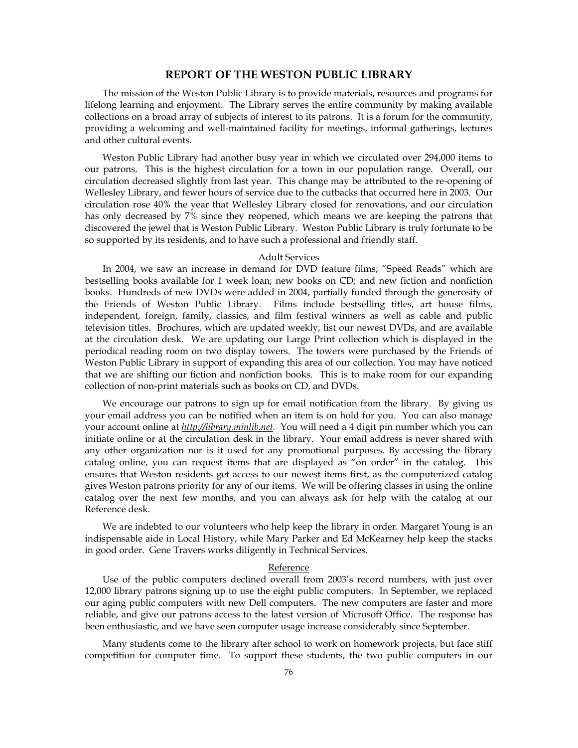## **REPORT OF THE WESTON PUBLIC LIBRARY**

The mission of the Weston Public Library is to provide materials, resources and programs for lifelong learning and enjoyment. The Library serves the entire community by making available collections on a broad array of subjects of interest to its patrons. It is a forum for the community, providing a welcoming and well-maintained facility for meetings, informal gatherings, lectures and other cultural events.

Weston Public Library had another busy year in which we circulated over 294,000 items to our patrons. This is the highest circulation for a town in our population range. Overall, our circulation decreased slightly from last year. This change may be attributed to the re-opening of Wellesley Library, and fewer hours of service due to the cutbacks that occurred here in 2003. Our circulation rose 40% the year that Wellesley Library closed for renovations, and our circulation has only decreased by 7% since they reopened, which means we are keeping the patrons that discovered the jewel that is Weston Public Library. Weston Public Library is truly fortunate to be so supported by its residents, and to have such a professional and friendly staff.

## Adult Services

In 2004, we saw an increase in demand for DVD feature films; "Speed Reads" which are bestselling books available for 1 week loan; new books on CD; and new fiction and nonfiction books. Hundreds of new DVDs were added in 2004, partially funded through the generosity of the Friends of Weston Public Library. Films include bestselling titles, art house films, independent, foreign, family, classics, and film festival winners as well as cable and public television titles. Brochures, which are updated weekly, list our newest DVDs, and are available at the circulation desk. We are updating our Large Print collection which is displayed in the periodical reading room on two display towers. The towers were purchased by the Friends of Weston Public Library in support of expanding this area of our collection. You may have noticed that we are shifting our fiction and nonfiction books. This is to make room for our expanding collection of non-print materials such as books on CD, and DVDs.

We encourage our patrons to sign up for email notification from the library. By giving us your email address you can be notified when an item is on hold for you. You can also manage your account online at *http://library.minlib.net.* You will need a 4 digit pin number which you can initiate online or at the circulation desk in the library. Your email address is never shared with any other organization nor is it used for any promotional purposes. By accessing the library catalog online, you can request items that are displayed as "on order" in the catalog. This ensures that Weston residents get access to our newest items first, as the computerized catalog gives Weston patrons priority for any of our items. We will be offering classes in using the online catalog over the next few months, and you can always ask for help with the catalog at our Reference desk.

We are indebted to our volunteers who help keep the library in order. Margaret Young is an indispensable aide in Local History, while Mary Parker and Ed McKearney help keep the stacks in good order. Gene Travers works diligently in Technical Services.

#### Reference

Use of the public computers declined overall from 2003's record numbers, with just over 12,000 library patrons signing up to use the eight public computers. In September, we replaced our aging public computers with new Dell computers. The new computers are faster and more reliable, and give our patrons access to the latest version of Microsoft Office. The response has been enthusiastic, and we have seen computer usage increase considerably since September.

Many students come to the library after school to work on homework projects, but face stiff competition for computer time. To support these students, the two public computers in our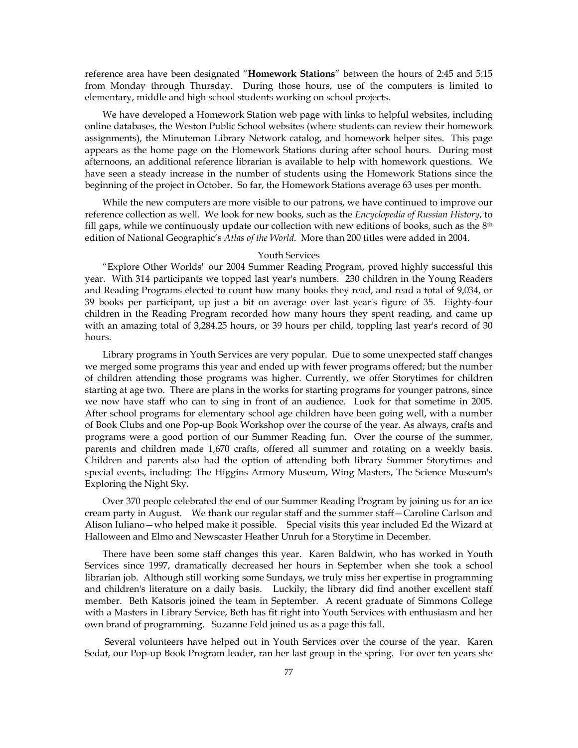reference area have been designated "**Homework Stations**" between the hours of 2:45 and 5:15 from Monday through Thursday. During those hours, use of the computers is limited to elementary, middle and high school students working on school projects.

We have developed a Homework Station web page with links to helpful websites, including online databases, the Weston Public School websites (where students can review their homework assignments), the Minuteman Library Network catalog, and homework helper sites. This page appears as the home page on the Homework Stations during after school hours. During most afternoons, an additional reference librarian is available to help with homework questions. We have seen a steady increase in the number of students using the Homework Stations since the beginning of the project in October. So far, the Homework Stations average 63 uses per month.

While the new computers are more visible to our patrons, we have continued to improve our reference collection as well. We look for new books, such as the *Encyclopedia of Russian History*, to fill gaps, while we continuously update our collection with new editions of books, such as the  $8<sup>th</sup>$ edition of National Geographic's *Atlas of the World*. More than 200 titles were added in 2004.

#### Youth Services

"Explore Other Worlds" our 2004 Summer Reading Program, proved highly successful this year. With 314 participants we topped last year's numbers. 230 children in the Young Readers and Reading Programs elected to count how many books they read, and read a total of 9,034, or 39 books per participant, up just a bit on average over last year's figure of 35. Eighty-four children in the Reading Program recorded how many hours they spent reading, and came up with an amazing total of 3,284.25 hours, or 39 hours per child, toppling last year's record of 30 hours.

Library programs in Youth Services are very popular. Due to some unexpected staff changes we merged some programs this year and ended up with fewer programs offered; but the number of children attending those programs was higher. Currently, we offer Storytimes for children starting at age two. There are plans in the works for starting programs for younger patrons, since we now have staff who can to sing in front of an audience. Look for that sometime in 2005. After school programs for elementary school age children have been going well, with a number of Book Clubs and one Pop-up Book Workshop over the course of the year. As always, crafts and programs were a good portion of our Summer Reading fun. Over the course of the summer, parents and children made 1,670 crafts, offered all summer and rotating on a weekly basis. Children and parents also had the option of attending both library Summer Storytimes and special events, including: The Higgins Armory Museum, Wing Masters, The Science Museum's Exploring the Night Sky.

Over 370 people celebrated the end of our Summer Reading Program by joining us for an ice cream party in August. We thank our regular staff and the summer staff—Caroline Carlson and Alison Iuliano—who helped make it possible. Special visits this year included Ed the Wizard at Halloween and Elmo and Newscaster Heather Unruh for a Storytime in December.

There have been some staff changes this year. Karen Baldwin, who has worked in Youth Services since 1997, dramatically decreased her hours in September when she took a school librarian job. Although still working some Sundays, we truly miss her expertise in programming and children's literature on a daily basis. Luckily, the library did find another excellent staff member. Beth Katsoris joined the team in September. A recent graduate of Simmons College with a Masters in Library Service, Beth has fit right into Youth Services with enthusiasm and her own brand of programming. Suzanne Feld joined us as a page this fall.

 Several volunteers have helped out in Youth Services over the course of the year. Karen Sedat, our Pop-up Book Program leader, ran her last group in the spring. For over ten years she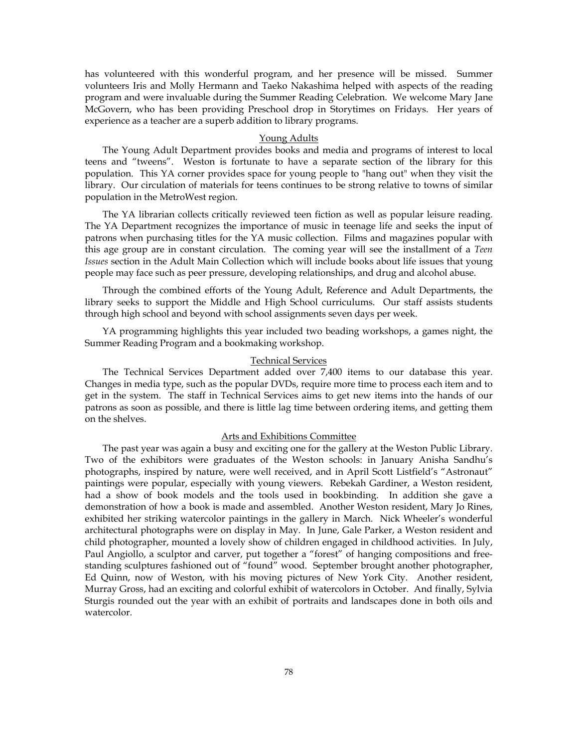has volunteered with this wonderful program, and her presence will be missed. Summer volunteers Iris and Molly Hermann and Taeko Nakashima helped with aspects of the reading program and were invaluable during the Summer Reading Celebration. We welcome Mary Jane McGovern, who has been providing Preschool drop in Storytimes on Fridays. Her years of experience as a teacher are a superb addition to library programs.

#### Young Adults

The Young Adult Department provides books and media and programs of interest to local teens and "tweens". Weston is fortunate to have a separate section of the library for this population. This YA corner provides space for young people to "hang out" when they visit the library. Our circulation of materials for teens continues to be strong relative to towns of similar population in the MetroWest region.

The YA librarian collects critically reviewed teen fiction as well as popular leisure reading. The YA Department recognizes the importance of music in teenage life and seeks the input of patrons when purchasing titles for the YA music collection. Films and magazines popular with this age group are in constant circulation. The coming year will see the installment of a *Teen Issues* section in the Adult Main Collection which will include books about life issues that young people may face such as peer pressure, developing relationships, and drug and alcohol abuse.

Through the combined efforts of the Young Adult, Reference and Adult Departments, the library seeks to support the Middle and High School curriculums. Our staff assists students through high school and beyond with school assignments seven days per week.

YA programming highlights this year included two beading workshops, a games night, the Summer Reading Program and a bookmaking workshop.

## Technical Services

The Technical Services Department added over 7,400 items to our database this year. Changes in media type, such as the popular DVDs, require more time to process each item and to get in the system. The staff in Technical Services aims to get new items into the hands of our patrons as soon as possible, and there is little lag time between ordering items, and getting them on the shelves.

## Arts and Exhibitions Committee

The past year was again a busy and exciting one for the gallery at the Weston Public Library. Two of the exhibitors were graduates of the Weston schools: in January Anisha Sandhu's photographs, inspired by nature, were well received, and in April Scott Listfield's "Astronaut" paintings were popular, especially with young viewers. Rebekah Gardiner, a Weston resident, had a show of book models and the tools used in bookbinding. In addition she gave a demonstration of how a book is made and assembled. Another Weston resident, Mary Jo Rines, exhibited her striking watercolor paintings in the gallery in March. Nick Wheeler's wonderful architectural photographs were on display in May. In June, Gale Parker, a Weston resident and child photographer, mounted a lovely show of children engaged in childhood activities. In July, Paul Angiollo, a sculptor and carver, put together a "forest" of hanging compositions and freestanding sculptures fashioned out of "found" wood. September brought another photographer, Ed Quinn, now of Weston, with his moving pictures of New York City. Another resident, Murray Gross, had an exciting and colorful exhibit of watercolors in October. And finally, Sylvia Sturgis rounded out the year with an exhibit of portraits and landscapes done in both oils and watercolor.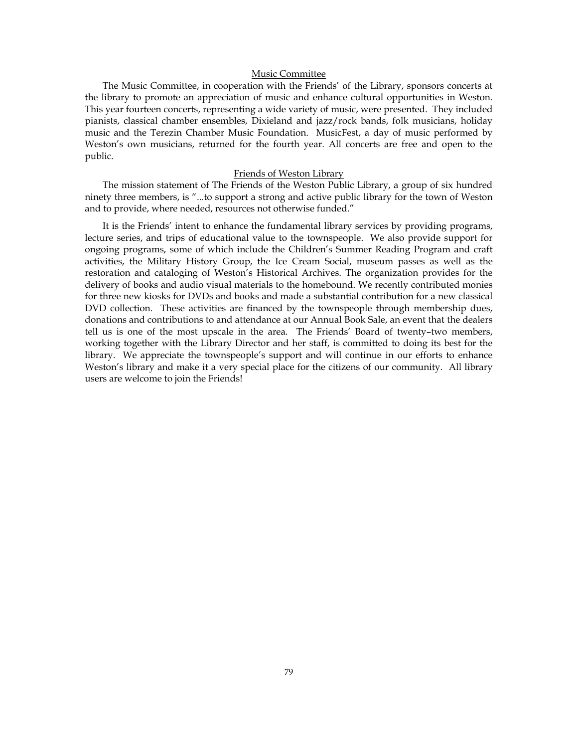## Music Committee

The Music Committee, in cooperation with the Friends' of the Library, sponsors concerts at the library to promote an appreciation of music and enhance cultural opportunities in Weston. This year fourteen concerts, representing a wide variety of music, were presented. They included pianists, classical chamber ensembles, Dixieland and jazz/rock bands, folk musicians, holiday music and the Terezin Chamber Music Foundation. MusicFest, a day of music performed by Weston's own musicians, returned for the fourth year. All concerts are free and open to the public.

### Friends of Weston Library

The mission statement of The Friends of the Weston Public Library, a group of six hundred ninety three members, is "...to support a strong and active public library for the town of Weston and to provide, where needed, resources not otherwise funded."

It is the Friends' intent to enhance the fundamental library services by providing programs, lecture series, and trips of educational value to the townspeople. We also provide support for ongoing programs, some of which include the Children's Summer Reading Program and craft activities, the Military History Group, the Ice Cream Social, museum passes as well as the restoration and cataloging of Weston's Historical Archives. The organization provides for the delivery of books and audio visual materials to the homebound. We recently contributed monies for three new kiosks for DVDs and books and made a substantial contribution for a new classical DVD collection. These activities are financed by the townspeople through membership dues, donations and contributions to and attendance at our Annual Book Sale, an event that the dealers tell us is one of the most upscale in the area. The Friends' Board of twenty–two members, working together with the Library Director and her staff, is committed to doing its best for the library. We appreciate the townspeople's support and will continue in our efforts to enhance Weston's library and make it a very special place for the citizens of our community. All library users are welcome to join the Friends!